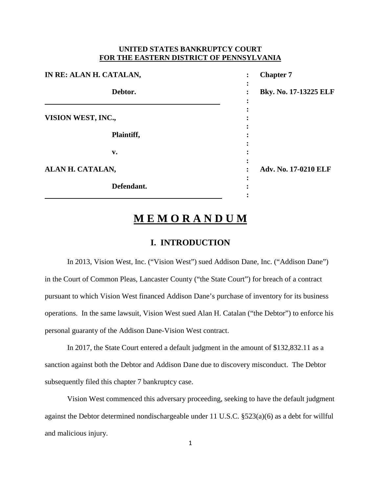## **UNITED STATES BANKRUPTCY COURT FOR THE EASTERN DISTRICT OF PENNSYLVANIA**

| IN RE: ALAN H. CATALAN, | <b>Chapter 7</b><br>٠      |
|-------------------------|----------------------------|
| Debtor.                 | ٠<br>Bky. No. 17-13225 ELF |
| VISION WEST, INC.,      |                            |
| Plaintiff,              |                            |
| v.                      |                            |
| ALAN H. CATALAN,        | Adv. No. 17-0210 ELF       |
| Defendant.              |                            |

# **M E M O R A N D U M**

# **I. INTRODUCTION**

In 2013, Vision West, Inc. ("Vision West") sued Addison Dane, Inc. ("Addison Dane") in the Court of Common Pleas, Lancaster County ("the State Court") for breach of a contract pursuant to which Vision West financed Addison Dane's purchase of inventory for its business operations. In the same lawsuit, Vision West sued Alan H. Catalan ("the Debtor") to enforce his personal guaranty of the Addison Dane-Vision West contract.

In 2017, the State Court entered a default judgment in the amount of \$132,832.11 as a sanction against both the Debtor and Addison Dane due to discovery misconduct. The Debtor subsequently filed this chapter 7 bankruptcy case.

Vision West commenced this adversary proceeding, seeking to have the default judgment against the Debtor determined nondischargeable under 11 U.S.C. §523(a)(6) as a debt for willful and malicious injury.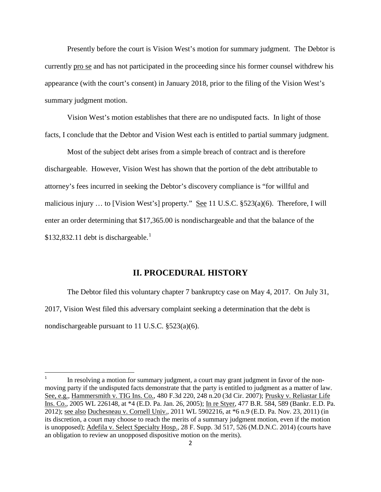Presently before the court is Vision West's motion for summary judgment. The Debtor is currently pro se and has not participated in the proceeding since his former counsel withdrew his appearance (with the court's consent) in January 2018, prior to the filing of the Vision West's summary judgment motion.

Vision West's motion establishes that there are no undisputed facts. In light of those facts, I conclude that the Debtor and Vision West each is entitled to partial summary judgment.

Most of the subject debt arises from a simple breach of contract and is therefore dischargeable. However, Vision West has shown that the portion of the debt attributable to attorney's fees incurred in seeking the Debtor's discovery compliance is "for willful and malicious injury ... to [Vision West's] property." See 11 U.S.C.  $\S$ 523(a)(6). Therefore, I will enter an order determining that \$17,365.00 is nondischargeable and that the balance of the  $$132,832.11$  $$132,832.11$  $$132,832.11$  debt is dischargeable.<sup>1</sup>

# **II. PROCEDURAL HISTORY**

The Debtor filed this voluntary chapter 7 bankruptcy case on May 4, 2017. On July 31, 2017, Vision West filed this adversary complaint seeking a determination that the debt is nondischargeable pursuant to 11 U.S.C. §523(a)(6).

<span id="page-1-0"></span>In resolving a motion for summary judgment, a court may grant judgment in favor of the nonmoving party if the undisputed facts demonstrate that the party is entitled to judgment as a matter of law. See, e.g., Hammersmith v. TIG Ins. Co., 480 F.3d 220, 248 n.20 (3d Cir. 2007); Prusky v. Reliastar Life Ins. Co., 2005 WL 226148, at \*4 (E.D. Pa. Jan. 26, 2005); In re Styer, 477 B.R. 584, 589 (Bankr. E.D. Pa. 2012); see also Duchesneau v. Cornell Univ., 2011 WL 5902216, at \*6 n.9 (E.D. Pa. Nov. 23, 2011) (in its discretion, a court may choose to reach the merits of a summary judgment motion, even if the motion is unopposed); Adefila v. Select Specialty Hosp., 28 F. Supp. 3d 517, 526 (M.D.N.C. 2014) (courts have an obligation to review an unopposed dispositive motion on the merits).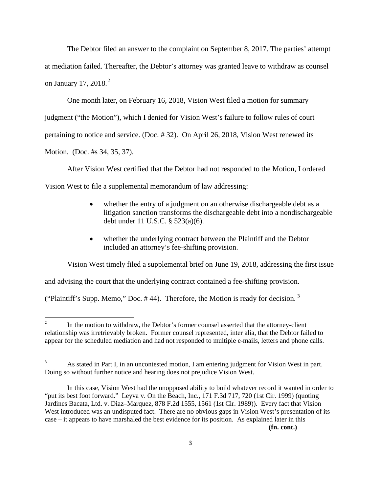The Debtor filed an answer to the complaint on September 8, 2017. The parties' attempt at mediation failed. Thereafter, the Debtor's attorney was granted leave to withdraw as counsel on January 17, [2](#page-2-0)018. $^2$ 

One month later, on February 16, 2018, Vision West filed a motion for summary judgment ("the Motion"), which I denied for Vision West's failure to follow rules of court pertaining to notice and service. (Doc. # 32). On April 26, 2018, Vision West renewed its Motion. (Doc. #s 34, 35, 37).

After Vision West certified that the Debtor had not responded to the Motion, I ordered Vision West to file a supplemental memorandum of law addressing:

- whether the entry of a judgment on an otherwise dischargeable debt as a litigation sanction transforms the dischargeable debt into a nondischargeable debt under 11 U.S.C. § 523(a)(6).
- whether the underlying contract between the Plaintiff and the Debtor included an attorney's fee-shifting provision.

Vision West timely filed a supplemental brief on June 19, 2018, addressing the first issue

and advising the court that the underlying contract contained a fee-shifting provision.

("Plaintiff's Supp. Memo," Doc. # 44). Therefore, the Motion is ready for decision. [3](#page-2-1)

<span id="page-2-0"></span><sup>&</sup>lt;sup>2</sup> In the motion to withdraw, the Debtor's former counsel asserted that the attorney-client relationship was irretrievably broken. Former counsel represented, inter alia, that the Debtor failed to appear for the scheduled mediation and had not responded to multiple e-mails, letters and phone calls.

<span id="page-2-1"></span><sup>3</sup> As stated in Part I, in an uncontested motion, I am entering judgment for Vision West in part. Doing so without further notice and hearing does not prejudice Vision West.

In this case, Vision West had the unopposed ability to build whatever record it wanted in order to "put its best foot forward." Leyva v. On the Beach, Inc., 171 F.3d 717, 720 (1st Cir. 1999) (quoting Jardines Bacata, Ltd. v. Diaz–Marquez, 878 F.2d 1555, 1561 (1st Cir. 1989)). Every fact that Vision West introduced was an undisputed fact. There are no obvious gaps in Vision West's presentation of its case – it appears to have marshaled the best evidence for its position. As explained later in this **(fn. cont.)**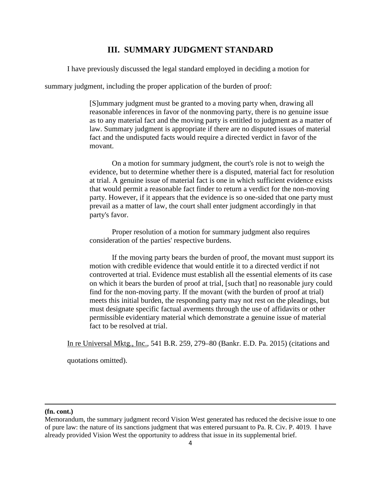# **III. SUMMARY JUDGMENT STANDARD**

I have previously discussed the legal standard employed in deciding a motion for

summary judgment, including the proper application of the burden of proof:

[S]ummary judgment must be granted to a moving party when, drawing all reasonable inferences in favor of the nonmoving party, there is no genuine issue as to any material fact and the moving party is entitled to judgment as a matter of law. Summary judgment is appropriate if there are no disputed issues of material fact and the undisputed facts would require a directed verdict in favor of the movant.

On a motion for summary judgment, the court's role is not to weigh the evidence, but to determine whether there is a disputed, material fact for resolution at trial. A genuine issue of material fact is one in which sufficient evidence exists that would permit a reasonable fact finder to return a verdict for the non-moving party. However, if it appears that the evidence is so one-sided that one party must prevail as a matter of law, the court shall enter judgment accordingly in that party's favor.

Proper resolution of a motion for summary judgment also requires consideration of the parties' respective burdens.

If the moving party bears the burden of proof, the movant must support its motion with credible evidence that would entitle it to a directed verdict if not controverted at trial. Evidence must establish all the essential elements of its case on which it bears the burden of proof at trial, [such that] no reasonable jury could find for the non-moving party. If the movant (with the burden of proof at trial) meets this initial burden, the responding party may not rest on the pleadings, but must designate specific factual averments through the use of affidavits or other permissible evidentiary material which demonstrate a genuine issue of material fact to be resolved at trial.

In re Universal Mktg., Inc., 541 B.R. 259, 279–80 (Bankr. E.D. Pa. 2015) (citations and

quotations omitted).

#### **(fn. cont.)**

l

Memorandum, the summary judgment record Vision West generated has reduced the decisive issue to one of pure law: the nature of its sanctions judgment that was entered pursuant to Pa. R. Civ. P. 4019. I have already provided Vision West the opportunity to address that issue in its supplemental brief.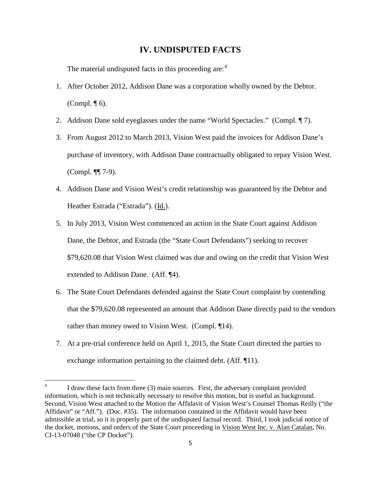## **IV. UNDISPUTED FACTS**

The material undisputed facts in this proceeding are:<sup>[4](#page-4-0)</sup>

- 1. After October 2012, Addison Dane was a corporation wholly owned by the Debtor. (Compl. ¶ 6).
- 2. Addison Dane sold eyeglasses under the name "World Spectacles." (Compl. ¶ 7).
- 3. From August 2012 to March 2013, Vision West paid the invoices for Addison Dane's purchase of inventory, with Addison Dane contractually obligated to repay Vision West. (Compl. ¶¶ 7-9).
- 4. Addison Dane and Vision West's credit relationship was guaranteed by the Debtor and Heather Estrada ("Estrada"). (Id.).
- 5. In July 2013, Vision West commenced an action in the State Court against Addison Dane, the Debtor, and Estrada (the "State Court Defendants") seeking to recover \$79,620.08 that Vision West claimed was due and owing on the credit that Vision West extended to Addison Dane. (Aff. ¶4).
- 6. The State Court Defendants defended against the State Court complaint by contending that the \$79,620.08 represented an amount that Addison Dane directly paid to the vendors rather than money owed to Vision West. (Compl. ¶14).
- 7. At a pre-trial conference held on April 1, 2015, the State Court directed the parties to exchange information pertaining to the claimed debt. (Aff. ¶11).

<span id="page-4-0"></span> <sup>4</sup> I draw these facts from three (3) main sources. First, the adversary complaint provided information, which is not technically necessary to resolve this motion, but is useful as background. Second, Vision West attached to the Motion the Affidavit of Vision West's Counsel Thomas Reilly ("the Affidavit" or "Aff."). (Doc. #35). The information contained in the Affidavit would have been admissible at trial, so it is properly part of the undisputed factual record. Third, I took judicial notice of the docket, motions, and orders of the State Court proceeding in Vision West Inc. v. Alan Catalan, No. CI-13-07048 ("the CP Docket").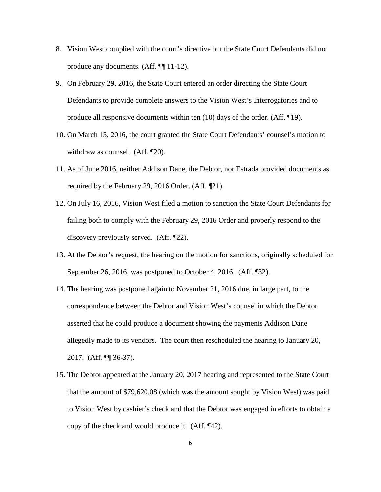- 8. Vision West complied with the court's directive but the State Court Defendants did not produce any documents. (Aff. ¶¶ 11-12).
- 9. On February 29, 2016, the State Court entered an order directing the State Court Defendants to provide complete answers to the Vision West's Interrogatories and to produce all responsive documents within ten (10) days of the order. (Aff. ¶19).
- 10. On March 15, 2016, the court granted the State Court Defendants' counsel's motion to withdraw as counsel. (Aff. ¶20).
- 11. As of June 2016, neither Addison Dane, the Debtor, nor Estrada provided documents as required by the February 29, 2016 Order. (Aff. ¶21).
- 12. On July 16, 2016, Vision West filed a motion to sanction the State Court Defendants for failing both to comply with the February 29, 2016 Order and properly respond to the discovery previously served. (Aff. ¶22).
- 13. At the Debtor's request, the hearing on the motion for sanctions, originally scheduled for September 26, 2016, was postponed to October 4, 2016. (Aff. ¶32).
- 14. The hearing was postponed again to November 21, 2016 due, in large part, to the correspondence between the Debtor and Vision West's counsel in which the Debtor asserted that he could produce a document showing the payments Addison Dane allegedly made to its vendors. The court then rescheduled the hearing to January 20, 2017. (Aff. ¶¶ 36-37).
- 15. The Debtor appeared at the January 20, 2017 hearing and represented to the State Court that the amount of \$79,620.08 (which was the amount sought by Vision West) was paid to Vision West by cashier's check and that the Debtor was engaged in efforts to obtain a copy of the check and would produce it. (Aff. ¶42).

6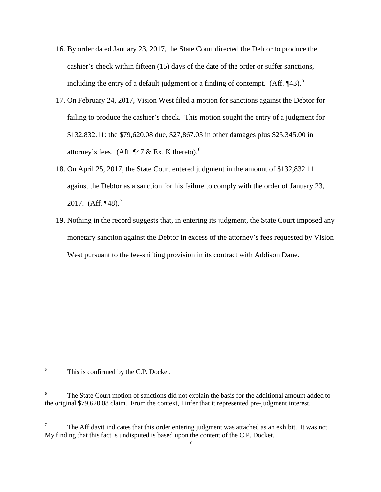- 16. By order dated January 23, 2017, the State Court directed the Debtor to produce the cashier's check within fifteen (15) days of the date of the order or suffer sanctions, including the entry of a default judgment or a finding of contempt.  $(Aff. \P43)$ .<sup>[5](#page-6-0)</sup>
- 17. On February 24, 2017, Vision West filed a motion for sanctions against the Debtor for failing to produce the cashier's check. This motion sought the entry of a judgment for \$132,832.11: the \$79,620.08 due, \$27,867.03 in other damages plus \$25,345.00 in attorney's fees. (Aff.  $\P$ 47 & Ex. K thereto).<sup>[6](#page-6-1)</sup>
- 18. On April 25, 2017, the State Court entered judgment in the amount of \$132,832.11 against the Debtor as a sanction for his failure to comply with the order of January 23, 201[7](#page-6-2).  $(Aff. \P48).$ <sup>7</sup>
- 19. Nothing in the record suggests that, in entering its judgment, the State Court imposed any monetary sanction against the Debtor in excess of the attorney's fees requested by Vision West pursuant to the fee-shifting provision in its contract with Addison Dane.

<span id="page-6-0"></span><sup>5</sup> This is confirmed by the C.P. Docket.

<span id="page-6-1"></span>The State Court motion of sanctions did not explain the basis for the additional amount added to the original \$79,620.08 claim. From the context, I infer that it represented pre-judgment interest.

<span id="page-6-2"></span><sup>&</sup>lt;sup>7</sup> The Affidavit indicates that this order entering judgment was attached as an exhibit. It was not. My finding that this fact is undisputed is based upon the content of the C.P. Docket.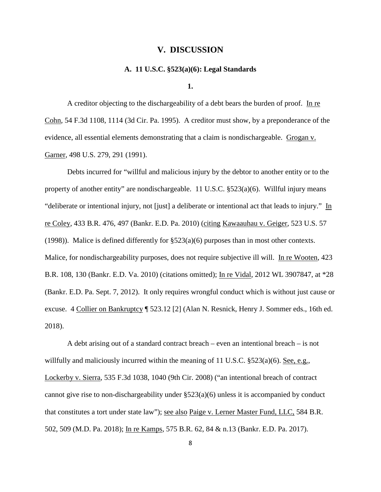#### **V. DISCUSSION**

## **A. 11 U.S.C. §523(a)(6): Legal Standards**

**1.**

A creditor objecting to the dischargeability of a debt bears the burden of proof. In re Cohn, 54 F.3d 1108, 1114 (3d Cir. Pa. 1995). A creditor must show, by a preponderance of the evidence, all essential elements demonstrating that a claim is nondischargeable. Grogan v. Garner, 498 U.S. 279, 291 (1991).

Debts incurred for "willful and malicious injury by the debtor to another entity or to the property of another entity" are nondischargeable. 11 U.S.C. §523(a)(6). Willful injury means "deliberate or intentional injury, not [just] a deliberate or intentional act that leads to injury." In re Coley, 433 B.R. 476, 497 (Bankr. E.D. Pa. 2010) (citing Kawaauhau v. Geiger, 523 U.S. 57 (1998)). Malice is defined differently for  $\S 523(a)(6)$  purposes than in most other contexts. Malice, for nondischargeability purposes, does not require subjective ill will. In re Wooten, 423 B.R. 108, 130 (Bankr. E.D. Va. 2010) (citations omitted); In re Vidal, 2012 WL 3907847, at \*28 (Bankr. E.D. Pa. Sept. 7, 2012). It only requires wrongful conduct which is without just cause or excuse. 4 Collier on Bankruptcy ¶ 523.12 [2] (Alan N. Resnick, Henry J. Sommer eds., 16th ed. 2018).

A debt arising out of a standard contract breach – even an intentional breach – is not willfully and maliciously incurred within the meaning of 11 U.S.C.  $\S 523(a)(6)$ . See, e.g., Lockerby v. Sierra, 535 F.3d 1038, 1040 (9th Cir. 2008) ("an intentional breach of contract cannot give rise to non-dischargeability under §523(a)(6) unless it is accompanied by conduct that constitutes a tort under state law"); see also Paige v. Lerner Master Fund, LLC, 584 B.R. 502, 509 (M.D. Pa. 2018); In re Kamps, 575 B.R. 62, 84 & n.13 (Bankr. E.D. Pa. 2017).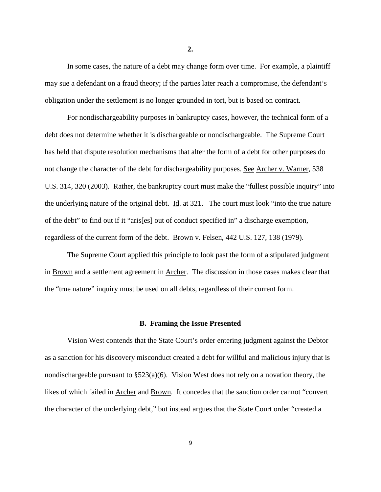In some cases, the nature of a debt may change form over time. For example, a plaintiff may sue a defendant on a fraud theory; if the parties later reach a compromise, the defendant's obligation under the settlement is no longer grounded in tort, but is based on contract.

For nondischargeability purposes in bankruptcy cases, however, the technical form of a debt does not determine whether it is dischargeable or nondischargeable. The Supreme Court has held that dispute resolution mechanisms that alter the form of a debt for other purposes do not change the character of the debt for dischargeability purposes. See Archer v. Warner, 538 U.S. 314, 320 (2003). Rather, the bankruptcy court must make the "fullest possible inquiry" into the underlying nature of the original debt. Id. at 321. The court must look "into the true nature of the debt" to find out if it "aris[es] out of conduct specified in" a discharge exemption, regardless of the current form of the debt. Brown v. Felsen, 442 U.S. 127, 138 (1979).

The Supreme Court applied this principle to look past the form of a stipulated judgment in Brown and a settlement agreement in Archer. The discussion in those cases makes clear that the "true nature" inquiry must be used on all debts, regardless of their current form.

#### **B. Framing the Issue Presented**

Vision West contends that the State Court's order entering judgment against the Debtor as a sanction for his discovery misconduct created a debt for willful and malicious injury that is nondischargeable pursuant to §523(a)(6). Vision West does not rely on a novation theory, the likes of which failed in Archer and Brown. It concedes that the sanction order cannot "convert the character of the underlying debt," but instead argues that the State Court order "created a

**2.**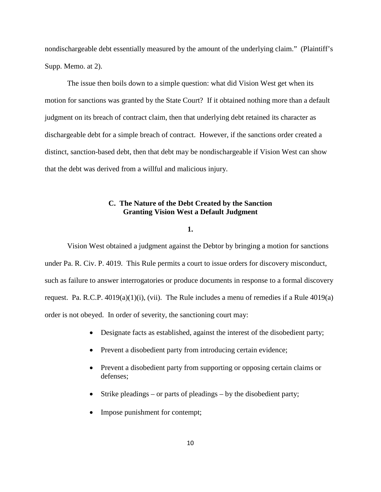nondischargeable debt essentially measured by the amount of the underlying claim." (Plaintiff's Supp. Memo. at 2).

The issue then boils down to a simple question: what did Vision West get when its motion for sanctions was granted by the State Court? If it obtained nothing more than a default judgment on its breach of contract claim, then that underlying debt retained its character as dischargeable debt for a simple breach of contract. However, if the sanctions order created a distinct, sanction-based debt, then that debt may be nondischargeable if Vision West can show that the debt was derived from a willful and malicious injury.

# **C. The Nature of the Debt Created by the Sanction Granting Vision West a Default Judgment**

## **1.**

Vision West obtained a judgment against the Debtor by bringing a motion for sanctions under Pa. R. Civ. P. 4019. This Rule permits a court to issue orders for discovery misconduct, such as failure to answer interrogatories or produce documents in response to a formal discovery request. Pa. R.C.P.  $4019(a)(1)(i)$ , (vii). The Rule includes a menu of remedies if a Rule  $4019(a)$ order is not obeyed. In order of severity, the sanctioning court may:

- Designate facts as established, against the interest of the disobedient party;
- Prevent a disobedient party from introducing certain evidence;
- Prevent a disobedient party from supporting or opposing certain claims or defenses;
- Strike pleadings or parts of pleadings by the disobedient party;
- Impose punishment for contempt;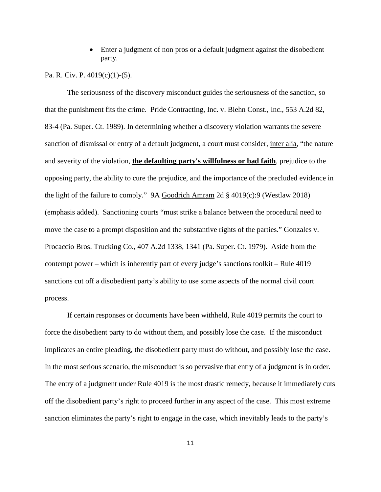• Enter a judgment of non pros or a default judgment against the disobedient party.

### Pa. R. Civ. P. 4019(c)(1)-(5).

The seriousness of the discovery misconduct guides the seriousness of the sanction, so that the punishment fits the crime. Pride Contracting, Inc. v. Biehn Const., Inc., 553 A.2d 82, 83-4 (Pa. Super. Ct. 1989). In determining whether a discovery violation warrants the severe sanction of dismissal or entry of a default judgment, a court must consider, inter alia, "the nature and severity of the violation, **the defaulting party's willfulness or bad faith**, prejudice to the opposing party, the ability to cure the prejudice, and the importance of the precluded evidence in the light of the failure to comply." 9A Goodrich Amram 2d § 4019(c):9 (Westlaw 2018) (emphasis added). Sanctioning courts "must strike a balance between the procedural need to move the case to a prompt disposition and the substantive rights of the parties." Gonzales v. Procaccio Bros. Trucking Co., 407 A.2d 1338, 1341 (Pa. Super. Ct. 1979). Aside from the contempt power – which is inherently part of every judge's sanctions toolkit – Rule 4019 sanctions cut off a disobedient party's ability to use some aspects of the normal civil court process.

If certain responses or documents have been withheld, Rule 4019 permits the court to force the disobedient party to do without them, and possibly lose the case. If the misconduct implicates an entire pleading, the disobedient party must do without, and possibly lose the case. In the most serious scenario, the misconduct is so pervasive that entry of a judgment is in order. The entry of a judgment under Rule 4019 is the most drastic remedy, because it immediately cuts off the disobedient party's right to proceed further in any aspect of the case. This most extreme sanction eliminates the party's right to engage in the case, which inevitably leads to the party's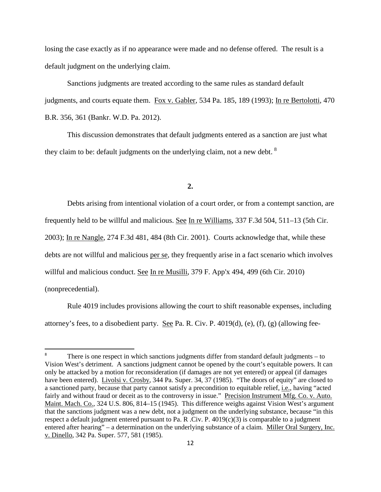losing the case exactly as if no appearance were made and no defense offered. The result is a default judgment on the underlying claim.

Sanctions judgments are treated according to the same rules as standard default judgments, and courts equate them. Fox v. Gabler, 534 Pa. 185, 189 (1993); In re Bertolotti, 470 B.R. 356, 361 (Bankr. W.D. Pa. 2012).

This discussion demonstrates that default judgments entered as a sanction are just what they claim to be: default judgments on the underlying claim, not a new debt.  $8$ 

**2.**

Debts arising from intentional violation of a court order, or from a contempt sanction, are

frequently held to be willful and malicious. See In re Williams, 337 F.3d 504, 511–13 (5th Cir.

2003); In re Nangle, 274 F.3d 481, 484 (8th Cir. 2001). Courts acknowledge that, while these

debts are not willful and malicious per se, they frequently arise in a fact scenario which involves

willful and malicious conduct. <u>See In re Musilli</u>, 379 F. App'x 494, 499 (6th Cir. 2010)

(nonprecedential).

Rule 4019 includes provisions allowing the court to shift reasonable expenses, including attorney's fees, to a disobedient party. See Pa. R. Civ. P. 4019(d), (e), (f), (g) (allowing fee-

<span id="page-11-0"></span> <sup>8</sup> There is one respect in which sanctions judgments differ from standard default judgments – to Vision West's detriment. A sanctions judgment cannot be opened by the court's equitable powers. It can only be attacked by a motion for reconsideration (if damages are not yet entered) or appeal (if damages have been entered). Livolsi v. Crosby, 344 Pa. Super. 34, 37 (1985). "The doors of equity" are closed to a sanctioned party, because that party cannot satisfy a precondition to equitable relief, i.e., having "acted fairly and without fraud or deceit as to the controversy in issue." Precision Instrument Mfg. Co. v. Auto. Maint. Mach. Co., 324 U.S. 806, 814–15 (1945). This difference weighs against Vision West's argument that the sanctions judgment was a new debt, not a judgment on the underlying substance, because "in this respect a default judgment entered pursuant to Pa. R .Civ. P. 4019(c)(3) is comparable to a judgment entered after hearing" – a determination on the underlying substance of a claim. Miller Oral Surgery, Inc. v. Dinello, 342 Pa. Super. 577, 581 (1985).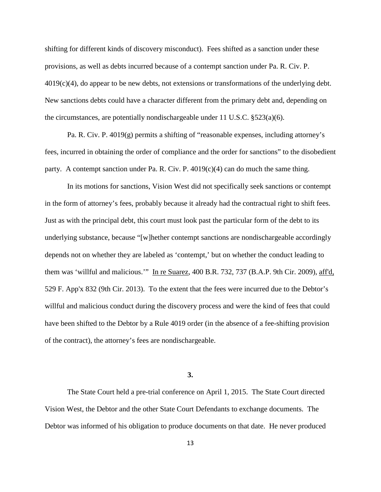shifting for different kinds of discovery misconduct). Fees shifted as a sanction under these provisions, as well as debts incurred because of a contempt sanction under Pa. R. Civ. P. 4019(c)(4), do appear to be new debts, not extensions or transformations of the underlying debt. New sanctions debts could have a character different from the primary debt and, depending on the circumstances, are potentially nondischargeable under 11 U.S.C.  $\S 523(a)(6)$ .

Pa. R. Civ. P. 4019(g) permits a shifting of "reasonable expenses, including attorney's fees, incurred in obtaining the order of compliance and the order for sanctions" to the disobedient party. A contempt sanction under Pa. R. Civ. P.  $4019(c)(4)$  can do much the same thing.

In its motions for sanctions, Vision West did not specifically seek sanctions or contempt in the form of attorney's fees, probably because it already had the contractual right to shift fees. Just as with the principal debt, this court must look past the particular form of the debt to its underlying substance, because "[w]hether contempt sanctions are nondischargeable accordingly depends not on whether they are labeled as 'contempt,' but on whether the conduct leading to them was 'willful and malicious.'" In re Suarez, 400 B.R. 732, 737 (B.A.P. 9th Cir. 2009), aff'd, 529 F. App'x 832 (9th Cir. 2013). To the extent that the fees were incurred due to the Debtor's willful and malicious conduct during the discovery process and were the kind of fees that could have been shifted to the Debtor by a Rule 4019 order (in the absence of a fee-shifting provision of the contract), the attorney's fees are nondischargeable.

**3.**

The State Court held a pre-trial conference on April 1, 2015. The State Court directed Vision West, the Debtor and the other State Court Defendants to exchange documents. The Debtor was informed of his obligation to produce documents on that date. He never produced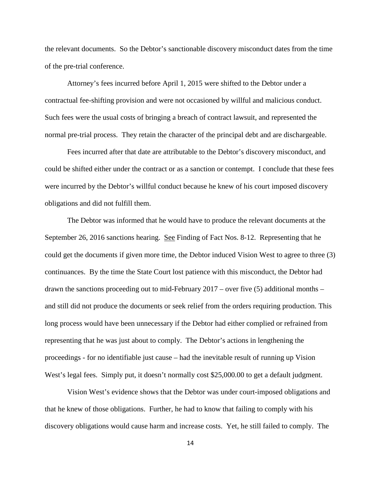the relevant documents. So the Debtor's sanctionable discovery misconduct dates from the time of the pre-trial conference.

Attorney's fees incurred before April 1, 2015 were shifted to the Debtor under a contractual fee-shifting provision and were not occasioned by willful and malicious conduct. Such fees were the usual costs of bringing a breach of contract lawsuit, and represented the normal pre-trial process. They retain the character of the principal debt and are dischargeable.

Fees incurred after that date are attributable to the Debtor's discovery misconduct, and could be shifted either under the contract or as a sanction or contempt. I conclude that these fees were incurred by the Debtor's willful conduct because he knew of his court imposed discovery obligations and did not fulfill them.

The Debtor was informed that he would have to produce the relevant documents at the September 26, 2016 sanctions hearing. See Finding of Fact Nos. 8-12. Representing that he could get the documents if given more time, the Debtor induced Vision West to agree to three (3) continuances. By the time the State Court lost patience with this misconduct, the Debtor had drawn the sanctions proceeding out to mid-February 2017 – over five (5) additional months – and still did not produce the documents or seek relief from the orders requiring production. This long process would have been unnecessary if the Debtor had either complied or refrained from representing that he was just about to comply. The Debtor's actions in lengthening the proceedings - for no identifiable just cause – had the inevitable result of running up Vision West's legal fees. Simply put, it doesn't normally cost \$25,000.00 to get a default judgment.

Vision West's evidence shows that the Debtor was under court-imposed obligations and that he knew of those obligations. Further, he had to know that failing to comply with his discovery obligations would cause harm and increase costs. Yet, he still failed to comply. The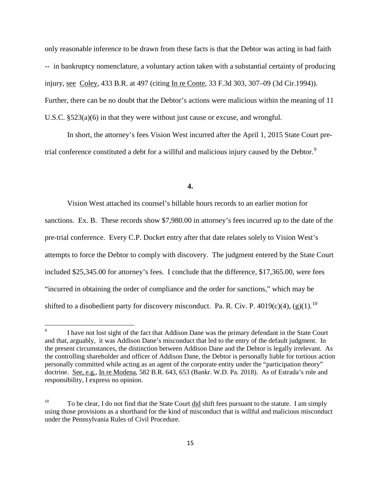only reasonable inference to be drawn from these facts is that the Debtor was acting in bad faith -- in bankruptcy nomenclature, a voluntary action taken with a substantial certainty of producing injury, see Coley, 433 B.R. at 497 (citing In re Conte, 33 F.3d 303, 307–09 (3d Cir.1994)). Further, there can be no doubt that the Debtor's actions were malicious within the meaning of 11 U.S.C. §523(a)(6) in that they were without just cause or excuse, and wrongful.

In short, the attorney's fees Vision West incurred after the April 1, 2015 State Court pre-trial conference constituted a debt for a willful and malicious injury caused by the Debtor.<sup>[9](#page-14-0)</sup>

#### **4.**

Vision West attached its counsel's billable hours records to an earlier motion for sanctions. Ex. B. These records show \$7,980.00 in attorney's fees incurred up to the date of the pre-trial conference. Every C.P. Docket entry after that date relates solely to Vision West's attempts to force the Debtor to comply with discovery. The judgment entered by the State Court included \$25,345.00 for attorney's fees. I conclude that the difference, \$17,365.00, were fees "incurred in obtaining the order of compliance and the order for sanctions," which may be shifted to a disobedient party for discovery misconduct. Pa. R. Civ. P. 4019(c)(4), (g)(1).<sup>[10](#page-14-1)</sup>

<span id="page-14-0"></span> <sup>9</sup> I have not lost sight of the fact that Addison Dane was the primary defendant in the State Court and that, arguably, it was Addison Dane's misconduct that led to the entry of the default judgment. In the present circumstances, the distinction between Addison Dane and the Debtor is legally irrelevant. As the controlling shareholder and officer of Addison Dane, the Debtor is personally liable for tortious action personally committed while acting as an agent of the corporate entity under the "participation theory" doctrine. See, e.g., In re Modena, 582 B.R. 643, 653 (Bankr. W.D. Pa. 2018). As of Estrada's role and responsibility, I express no opinion.

<span id="page-14-1"></span><sup>&</sup>lt;sup>10</sup> To be clear, I do not find that the State Court did shift fees pursuant to the statute. I am simply using those provisions as a shorthand for the kind of misconduct that is willful and malicious misconduct under the Pennsylvania Rules of Civil Procedure.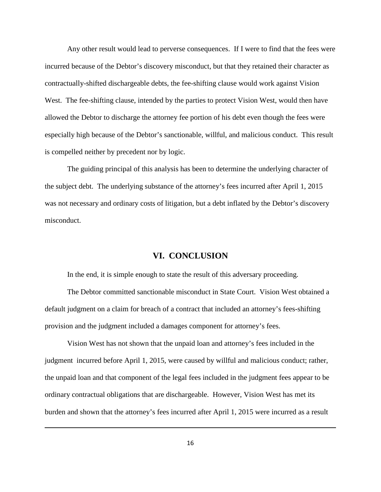Any other result would lead to perverse consequences. If I were to find that the fees were incurred because of the Debtor's discovery misconduct, but that they retained their character as contractually-shifted dischargeable debts, the fee-shifting clause would work against Vision West. The fee-shifting clause, intended by the parties to protect Vision West, would then have allowed the Debtor to discharge the attorney fee portion of his debt even though the fees were especially high because of the Debtor's sanctionable, willful, and malicious conduct. This result is compelled neither by precedent nor by logic.

The guiding principal of this analysis has been to determine the underlying character of the subject debt. The underlying substance of the attorney's fees incurred after April 1, 2015 was not necessary and ordinary costs of litigation, but a debt inflated by the Debtor's discovery misconduct.

# **VI. CONCLUSION**

In the end, it is simple enough to state the result of this adversary proceeding.

The Debtor committed sanctionable misconduct in State Court. Vision West obtained a default judgment on a claim for breach of a contract that included an attorney's fees-shifting provision and the judgment included a damages component for attorney's fees.

Vision West has not shown that the unpaid loan and attorney's fees included in the judgment incurred before April 1, 2015, were caused by willful and malicious conduct; rather, the unpaid loan and that component of the legal fees included in the judgment fees appear to be ordinary contractual obligations that are dischargeable. However, Vision West has met its burden and shown that the attorney's fees incurred after April 1, 2015 were incurred as a result

l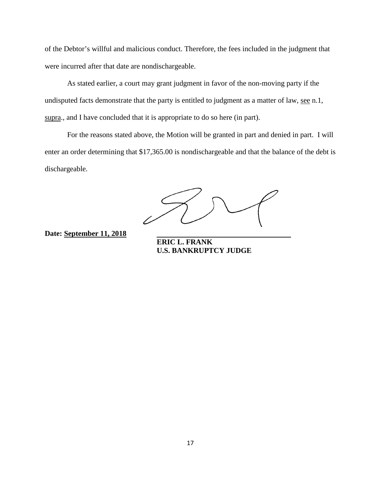of the Debtor's willful and malicious conduct. Therefore, the fees included in the judgment that were incurred after that date are nondischargeable.

As stated earlier, a court may grant judgment in favor of the non-moving party if the undisputed facts demonstrate that the party is entitled to judgment as a matter of law, see n.1, supra., and I have concluded that it is appropriate to do so here (in part).

For the reasons stated above, the Motion will be granted in part and denied in part. I will enter an order determining that \$17,365.00 is nondischargeable and that the balance of the debt is dischargeable.

**Date: September 11, 2018** 

**ERIC L. FRANK U.S. BANKRUPTCY JUDGE**